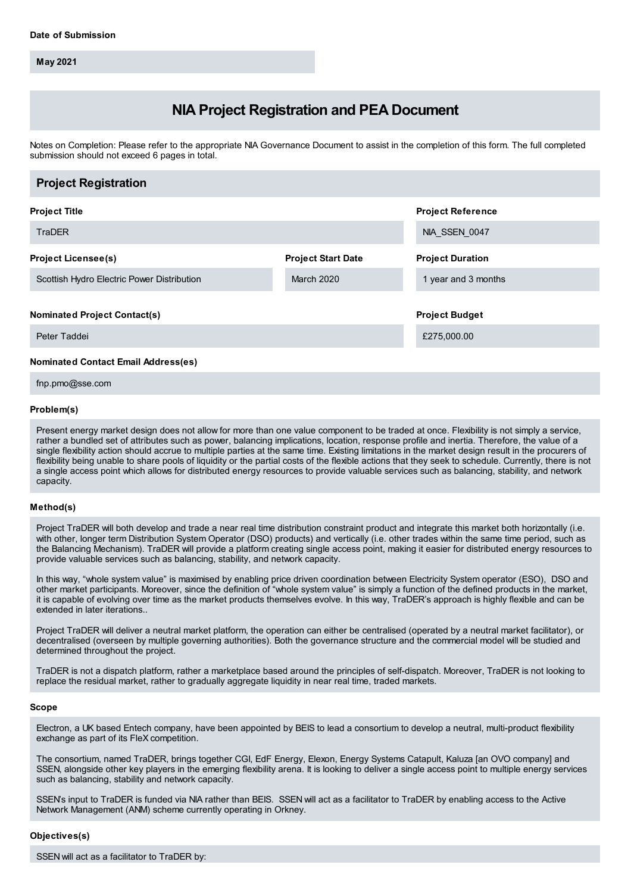**May 2021**

# **NIA Project Registration and PEA Document**

Notes on Completion: Please refer to the appropriate NIA Governance Document to assist in the completion of this form. The full completed submission should not exceed 6 pages in total.

| <b>Project Registration</b>                |                           |                          |
|--------------------------------------------|---------------------------|--------------------------|
| <b>Project Title</b>                       |                           | <b>Project Reference</b> |
| TraDER                                     |                           | NIA SSEN 0047            |
| <b>Project Licensee(s)</b>                 | <b>Project Start Date</b> | <b>Project Duration</b>  |
| Scottish Hydro Electric Power Distribution | March 2020                | 1 year and 3 months      |
| <b>Nominated Project Contact(s)</b>        |                           | <b>Project Budget</b>    |
| Peter Taddei                               |                           | £275,000.00              |
| <b>Nominated Contact Email Address(es)</b> |                           |                          |

fnp.pmo@sse.com

#### **Problem(s)**

Present energy market design does not allow for more than one value component to be traded at once. Flexibility is not simply a service, rather a bundled set of attributes such as power, balancing implications, location, response profile and inertia. Therefore, the value of a single flexibility action should accrue to multiple parties at the same time. Existing limitations in the market design result in the procurers of flexibility being unable to share pools of liquidity or the partial costs of the flexible actions that they seek to schedule. Currently, there is not a single access point which allows for distributed energy resources to provide valuable services such as balancing, stability, and network capacity.

#### **Method(s)**

Project TraDER will both develop and trade a near real time distribution constraint product and integrate this market both horizontally (i.e. with other, longer term Distribution System Operator (DSO) products) and vertically (i.e. other trades within the same time period, such as the Balancing Mechanism). TraDER will provide a platform creating single access point, making it easier for distributed energy resources to provide valuable services such as balancing, stability, and network capacity.

In this way, "whole system value" is maximised by enabling price driven coordination between Electricity System operator (ESO), DSO and other market participants. Moreover, since the definition of "whole system value" is simply a function of the defined products in the market, it is capable of evolving over time as the market products themselves evolve. In this way, TraDER's approach is highly flexible and can be extended in later iterations..

Project TraDER will deliver a neutral market platform, the operation can either be centralised (operated by a neutral market facilitator), or decentralised (overseen by multiple governing authorities). Both the governance structure and the commercial model will be studied and determined throughout the project.

TraDER is not a dispatch platform, rather a marketplace based around the principles of self-dispatch. Moreover, TraDER is not looking to replace the residual market, rather to gradually aggregate liquidity in near real time, traded markets.

#### **Scope**

Electron, a UK based Entech company, have been appointed by BEIS to lead a consortium to develop a neutral, multi-product flexibility exchange as part of its FleX competition.

The consortium, named TraDER, brings together CGI, EdF Energy, Elexon, Energy Systems Catapult, Kaluza [an OVO company] and SSEN, alongside other key players in the emerging flexibility arena. It is looking to deliver a single access point to multiple energy services such as balancing, stability and network capacity.

SSEN's input to TraDER is funded via NIA rather than BEIS. SSEN will act as a facilitator to TraDER by enabling access to the Active Network Management (ANM) scheme currently operating in Orkney.

#### **Objectives(s)**

SSEN will act as a facilitator to TraDER by: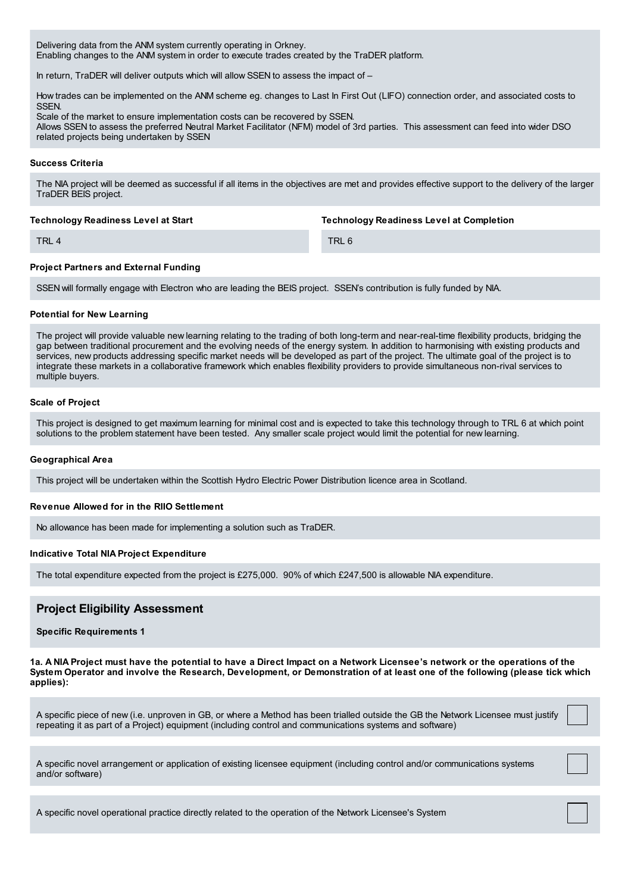Delivering data from the ANM system currently operating in Orkney. Enabling changes to the ANM system in order to execute trades created by the TraDER platform.

In return, TraDER will deliver outputs which will allow SSEN to assess the impact of -

How trades can be implemented on the ANM scheme eg. changes to Last In First Out (LIFO) connection order, and associated costs to **SSEN** 

Scale of the market to ensure implementation costs can be recovered by SSEN. Allows SSEN to assess the preferred Neutral Market Facilitator (NFM) model of 3rd parties. This assessment can feed into wider DSO related projects being undertaken by SSEN

## **Success Criteria**

The NIA project will be deemed as successful if all items in the objectives are met and provides effective support to the delivery of the larger TraDER BEIS project.

#### **Technology Readiness Level at Start**

**Technology Readiness Level at Completion**

TRL 4

TRL 6

# **Project Partners and External Funding**

SSEN will formally engage with Electron who are leading the BEIS project. SSEN's contribution is fully funded by NIA.

#### **Potential for New Learning**

The project will provide valuable new learning relating to the trading of both long-term and near-real-time flexibility products, bridging the gap between traditional procurement and the evolving needs of the energy system. In addition to harmonising with existing products and services, new products addressing specific market needs will be developed as part of the project. The ultimate goal of the project is to integrate these markets in a collaborative framework which enables flexibility providers to provide simultaneous non-rival services to multiple buyers.

#### **Scale of Project**

This project is designed to get maximum learning for minimal cost and is expected to take this technology through to TRL 6 at which point solutions to the problem statement have been tested. Any smaller scale project would limit the potential for new learning.

#### **Geographical Area**

This project will be undertaken within the Scottish Hydro Electric Power Distribution licence area in Scotland.

#### **Revenue Allowed for in the RIIO Settlement**

No allowance has been made for implementing a solution such as TraDER.

# **Indicative Total NIA Project Expenditure**

The total expenditure expected from the project is £275,000. 90% of which £247,500 is allowable NIA expenditure.

# **Project Eligibility Assessment**

**Specific Requirements 1**

1a. A NIA Project must have the potential to have a Direct Impact on a Network Licensee's network or the operations of the System Operator and involve the Research, Development, or Demonstration of at least one of the following (please tick which **applies):**

A specific piece of new (i.e. unproven in GB, or where a Method has been trialled outside the GB the Network Licensee must justify repeating it as part of a Project) equipment (including control and communications systems and software)

A specific novel arrangement or application of existing licensee equipment (including control and/or communications systems and/or software)

A specific novel operational practice directly related to the operation of the Network Licensee's System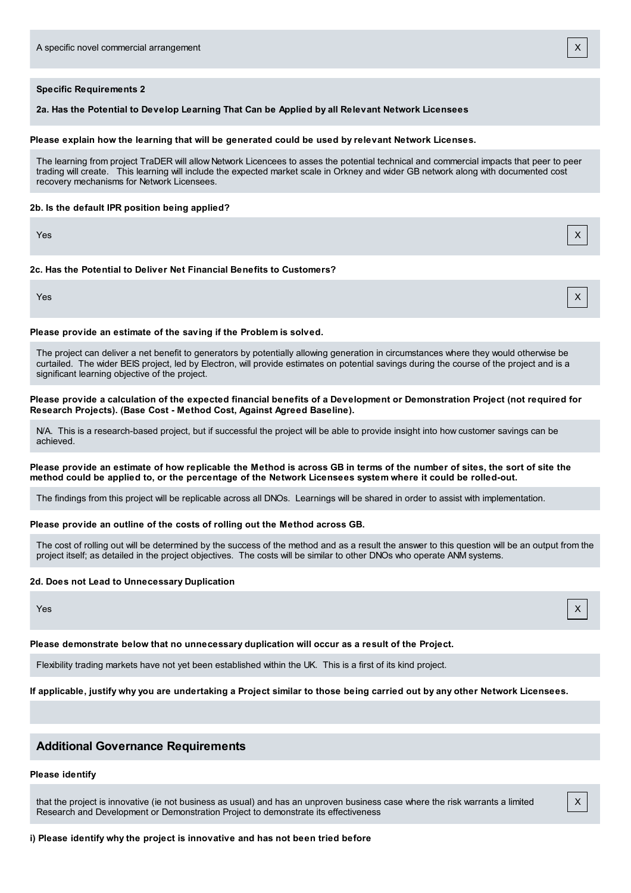# **Specific Requirements 2**

**2a. Has the Potential to Develop Learning That Can be Applied by all Relevant Network Licensees**

#### **Please explain how the learning that will be generated could be used by relevant Network Licenses.**

The learning from project TraDER will allow Network Licencees to asses the potential technical and commercial impacts that peer to peer trading will create. This learning will include the expected market scale in Orkney and wider GB network along with documented cost recovery mechanisms for Network Licensees.

#### **2b. Is the default IPR position being applied?**

Yes X

#### **2c. Has the Potential to Deliver Net Financial Benefits to Customers?**

Yes X

X

#### **Please provide an estimate of the saving if the Problem is solved.**

The project can deliver a net benefit to generators by potentially allowing generation in circumstances where they would otherwise be curtailed. The wider BEIS project, led by Electron, will provide estimates on potential savings during the course of the project and is a significant learning objective of the project.

Please provide a calculation of the expected financial benefits of a Development or Demonstration Project (not required for **Research Projects). (Base Cost - Method Cost, Against Agreed Baseline).**

N/A. This is a research-based project, but if successful the project will be able to provide insight into how customer savings can be achieved.

#### Please provide an estimate of how replicable the Method is across GB in terms of the number of sites, the sort of site the method could be applied to, or the percentage of the Network Licensees system where it could be rolled-out.

The findings from this project will be replicable across all DNOs. Learnings will be shared in order to assist with implementation.

#### **Please provide an outline of the costs of rolling out the Method across GB.**

The cost of rolling out will be determined by the success of the method and as a result the answer to this question will be an output from the project itself; as detailed in the project objectives. The costs will be similar to other DNOs who operate ANM systems.

#### **2d. Does not Lead to Unnecessary Duplication**

Yes X

#### **Please demonstrate below that no unnecessary duplication will occur as a result of the Project.**

Flexibility trading markets have not yet been established within the UK. This is a first of its kind project.

If applicable, justify why you are undertaking a Project similar to those being carried out by any other Network Licensees.

# **Additional Governance Requirements**

# **Please identify**

that the project is innovative (ie not business as usual) and has an unproven business case where the risk warrants a limited Research and Development or Demonstration Project to demonstrate its effectiveness